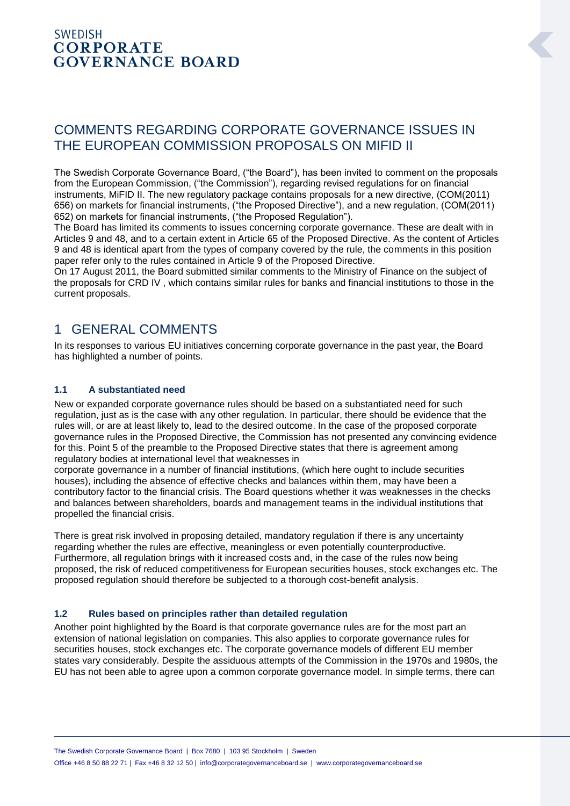### **SWEDISH CORPORATE GOVERNANCE BOARD**

# COMMENTS REGARDING CORPORATE GOVERNANCE ISSUES IN THE EUROPEAN COMMISSION PROPOSALS ON MIFID II

The Swedish Corporate Governance Board, ("the Board"), has been invited to comment on the proposals from the European Commission, ("the Commission"), regarding revised regulations for on financial instruments, MiFID II. The new regulatory package contains proposals for a new directive, (COM(2011) 656) on markets for financial instruments, ("the Proposed Directive"), and a new regulation, (COM(2011) 652) on markets for financial instruments, ("the Proposed Regulation").

The Board has limited its comments to issues concerning corporate governance. These are dealt with in Articles 9 and 48, and to a certain extent in Article 65 of the Proposed Directive. As the content of Articles 9 and 48 is identical apart from the types of company covered by the rule, the comments in this position paper refer only to the rules contained in Article 9 of the Proposed Directive.

On 17 August 2011, the Board submitted similar comments to the Ministry of Finance on the subject of the proposals for CRD IV , which contains similar rules for banks and financial institutions to those in the current proposals.

# 1 GENERAL COMMENTS

In its responses to various EU initiatives concerning corporate governance in the past year, the Board has highlighted a number of points.

### **1.1 A substantiated need**

New or expanded corporate governance rules should be based on a substantiated need for such regulation, just as is the case with any other regulation. In particular, there should be evidence that the rules will, or are at least likely to, lead to the desired outcome. In the case of the proposed corporate governance rules in the Proposed Directive, the Commission has not presented any convincing evidence for this. Point 5 of the preamble to the Proposed Directive states that there is agreement among regulatory bodies at international level that weaknesses in

corporate governance in a number of financial institutions, (which here ought to include securities houses), including the absence of effective checks and balances within them, may have been a contributory factor to the financial crisis. The Board questions whether it was weaknesses in the checks and balances between shareholders, boards and management teams in the individual institutions that propelled the financial crisis.

There is great risk involved in proposing detailed, mandatory regulation if there is any uncertainty regarding whether the rules are effective, meaningless or even potentially counterproductive. Furthermore, all regulation brings with it increased costs and, in the case of the rules now being proposed, the risk of reduced competitiveness for European securities houses, stock exchanges etc. The proposed regulation should therefore be subjected to a thorough cost-benefit analysis.

### **1.2 Rules based on principles rather than detailed regulation**

Another point highlighted by the Board is that corporate governance rules are for the most part an extension of national legislation on companies. This also applies to corporate governance rules for securities houses, stock exchanges etc. The corporate governance models of different EU member states vary considerably. Despite the assiduous attempts of the Commission in the 1970s and 1980s, the EU has not been able to agree upon a common corporate governance model. In simple terms, there can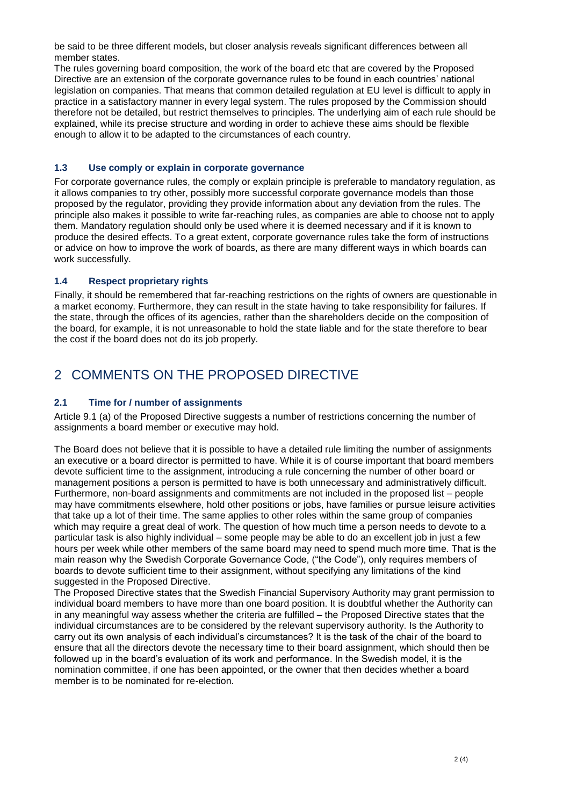be said to be three different models, but closer analysis reveals significant differences between all member states.

The rules governing board composition, the work of the board etc that are covered by the Proposed Directive are an extension of the corporate governance rules to be found in each countries' national legislation on companies. That means that common detailed regulation at EU level is difficult to apply in practice in a satisfactory manner in every legal system. The rules proposed by the Commission should therefore not be detailed, but restrict themselves to principles. The underlying aim of each rule should be explained, while its precise structure and wording in order to achieve these aims should be flexible enough to allow it to be adapted to the circumstances of each country.

#### **1.3 Use comply or explain in corporate governance**

For corporate governance rules, the comply or explain principle is preferable to mandatory regulation, as it allows companies to try other, possibly more successful corporate governance models than those proposed by the regulator, providing they provide information about any deviation from the rules. The principle also makes it possible to write far-reaching rules, as companies are able to choose not to apply them. Mandatory regulation should only be used where it is deemed necessary and if it is known to produce the desired effects. To a great extent, corporate governance rules take the form of instructions or advice on how to improve the work of boards, as there are many different ways in which boards can work successfully.

#### **1.4 Respect proprietary rights**

Finally, it should be remembered that far-reaching restrictions on the rights of owners are questionable in a market economy. Furthermore, they can result in the state having to take responsibility for failures. If the state, through the offices of its agencies, rather than the shareholders decide on the composition of the board, for example, it is not unreasonable to hold the state liable and for the state therefore to bear the cost if the board does not do its job properly.

## 2 COMMENTS ON THE PROPOSED DIRECTIVE

### **2.1 Time for / number of assignments**

Article 9.1 (a) of the Proposed Directive suggests a number of restrictions concerning the number of assignments a board member or executive may hold.

The Board does not believe that it is possible to have a detailed rule limiting the number of assignments an executive or a board director is permitted to have. While it is of course important that board members devote sufficient time to the assignment, introducing a rule concerning the number of other board or management positions a person is permitted to have is both unnecessary and administratively difficult. Furthermore, non-board assignments and commitments are not included in the proposed list – people may have commitments elsewhere, hold other positions or jobs, have families or pursue leisure activities that take up a lot of their time. The same applies to other roles within the same group of companies which may require a great deal of work. The question of how much time a person needs to devote to a particular task is also highly individual – some people may be able to do an excellent job in just a few hours per week while other members of the same board may need to spend much more time. That is the main reason why the Swedish Corporate Governance Code, ("the Code"), only requires members of boards to devote sufficient time to their assignment, without specifying any limitations of the kind suggested in the Proposed Directive.

The Proposed Directive states that the Swedish Financial Supervisory Authority may grant permission to individual board members to have more than one board position. It is doubtful whether the Authority can in any meaningful way assess whether the criteria are fulfilled – the Proposed Directive states that the individual circumstances are to be considered by the relevant supervisory authority. Is the Authority to carry out its own analysis of each individual's circumstances? It is the task of the chair of the board to ensure that all the directors devote the necessary time to their board assignment, which should then be followed up in the board's evaluation of its work and performance. In the Swedish model, it is the nomination committee, if one has been appointed, or the owner that then decides whether a board member is to be nominated for re-election.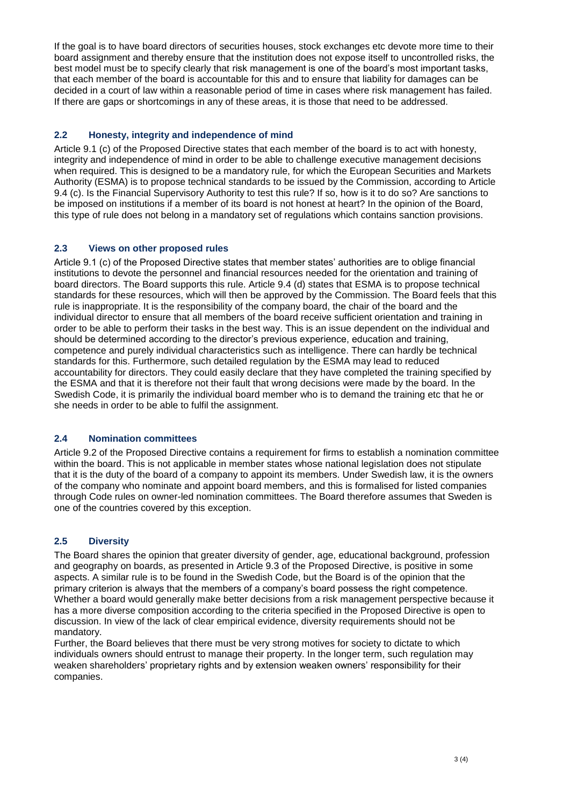If the goal is to have board directors of securities houses, stock exchanges etc devote more time to their board assignment and thereby ensure that the institution does not expose itself to uncontrolled risks, the best model must be to specify clearly that risk management is one of the board's most important tasks, that each member of the board is accountable for this and to ensure that liability for damages can be decided in a court of law within a reasonable period of time in cases where risk management has failed. If there are gaps or shortcomings in any of these areas, it is those that need to be addressed.

### **2.2 Honesty, integrity and independence of mind**

Article 9.1 (c) of the Proposed Directive states that each member of the board is to act with honesty, integrity and independence of mind in order to be able to challenge executive management decisions when required. This is designed to be a mandatory rule, for which the European Securities and Markets Authority (ESMA) is to propose technical standards to be issued by the Commission, according to Article 9.4 (c). Is the Financial Supervisory Authority to test this rule? If so, how is it to do so? Are sanctions to be imposed on institutions if a member of its board is not honest at heart? In the opinion of the Board, this type of rule does not belong in a mandatory set of regulations which contains sanction provisions.

### **2.3 Views on other proposed rules**

Article 9.1 (c) of the Proposed Directive states that member states' authorities are to oblige financial institutions to devote the personnel and financial resources needed for the orientation and training of board directors. The Board supports this rule. Article 9.4 (d) states that ESMA is to propose technical standards for these resources, which will then be approved by the Commission. The Board feels that this rule is inappropriate. It is the responsibility of the company board, the chair of the board and the individual director to ensure that all members of the board receive sufficient orientation and training in order to be able to perform their tasks in the best way. This is an issue dependent on the individual and should be determined according to the director's previous experience, education and training, competence and purely individual characteristics such as intelligence. There can hardly be technical standards for this. Furthermore, such detailed regulation by the ESMA may lead to reduced accountability for directors. They could easily declare that they have completed the training specified by the ESMA and that it is therefore not their fault that wrong decisions were made by the board. In the Swedish Code, it is primarily the individual board member who is to demand the training etc that he or she needs in order to be able to fulfil the assignment.

### **2.4 Nomination committees**

Article 9.2 of the Proposed Directive contains a requirement for firms to establish a nomination committee within the board. This is not applicable in member states whose national legislation does not stipulate that it is the duty of the board of a company to appoint its members. Under Swedish law, it is the owners of the company who nominate and appoint board members, and this is formalised for listed companies through Code rules on owner-led nomination committees. The Board therefore assumes that Sweden is one of the countries covered by this exception.

### **2.5 Diversity**

The Board shares the opinion that greater diversity of gender, age, educational background, profession and geography on boards, as presented in Article 9.3 of the Proposed Directive, is positive in some aspects. A similar rule is to be found in the Swedish Code, but the Board is of the opinion that the primary criterion is always that the members of a company's board possess the right competence. Whether a board would generally make better decisions from a risk management perspective because it has a more diverse composition according to the criteria specified in the Proposed Directive is open to discussion. In view of the lack of clear empirical evidence, diversity requirements should not be mandatory.

Further, the Board believes that there must be very strong motives for society to dictate to which individuals owners should entrust to manage their property. In the longer term, such regulation may weaken shareholders' proprietary rights and by extension weaken owners' responsibility for their companies.